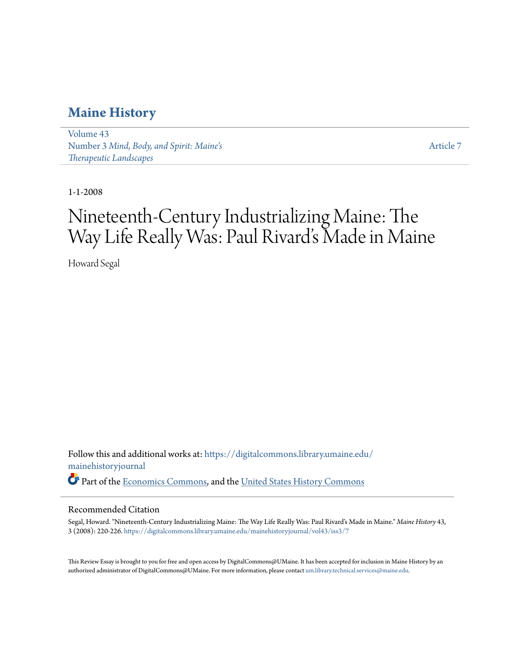### **[Maine History](https://digitalcommons.library.umaine.edu/mainehistoryjournal?utm_source=digitalcommons.library.umaine.edu%2Fmainehistoryjournal%2Fvol43%2Fiss3%2F7&utm_medium=PDF&utm_campaign=PDFCoverPages)**

[Volume 43](https://digitalcommons.library.umaine.edu/mainehistoryjournal/vol43?utm_source=digitalcommons.library.umaine.edu%2Fmainehistoryjournal%2Fvol43%2Fiss3%2F7&utm_medium=PDF&utm_campaign=PDFCoverPages) Number 3 *[Mind, Body, and Spirit: Maine's](https://digitalcommons.library.umaine.edu/mainehistoryjournal/vol43/iss3?utm_source=digitalcommons.library.umaine.edu%2Fmainehistoryjournal%2Fvol43%2Fiss3%2F7&utm_medium=PDF&utm_campaign=PDFCoverPages) [Therapeutic Landscapes](https://digitalcommons.library.umaine.edu/mainehistoryjournal/vol43/iss3?utm_source=digitalcommons.library.umaine.edu%2Fmainehistoryjournal%2Fvol43%2Fiss3%2F7&utm_medium=PDF&utm_campaign=PDFCoverPages)*

[Article 7](https://digitalcommons.library.umaine.edu/mainehistoryjournal/vol43/iss3/7?utm_source=digitalcommons.library.umaine.edu%2Fmainehistoryjournal%2Fvol43%2Fiss3%2F7&utm_medium=PDF&utm_campaign=PDFCoverPages)

1-1-2008

# Nineteenth-Century Industrializing Maine: The Way Life Really Was: Paul Rivard's Made in Maine

Howard Segal

Follow this and additional works at: [https://digitalcommons.library.umaine.edu/](https://digitalcommons.library.umaine.edu/mainehistoryjournal?utm_source=digitalcommons.library.umaine.edu%2Fmainehistoryjournal%2Fvol43%2Fiss3%2F7&utm_medium=PDF&utm_campaign=PDFCoverPages) [mainehistoryjournal](https://digitalcommons.library.umaine.edu/mainehistoryjournal?utm_source=digitalcommons.library.umaine.edu%2Fmainehistoryjournal%2Fvol43%2Fiss3%2F7&utm_medium=PDF&utm_campaign=PDFCoverPages) Part of the [Economics Commons,](http://network.bepress.com/hgg/discipline/340?utm_source=digitalcommons.library.umaine.edu%2Fmainehistoryjournal%2Fvol43%2Fiss3%2F7&utm_medium=PDF&utm_campaign=PDFCoverPages) and the [United States History Commons](http://network.bepress.com/hgg/discipline/495?utm_source=digitalcommons.library.umaine.edu%2Fmainehistoryjournal%2Fvol43%2Fiss3%2F7&utm_medium=PDF&utm_campaign=PDFCoverPages)

### Recommended Citation

Segal, Howard. "Nineteenth-Century Industrializing Maine: The Way Life Really Was: Paul Rivard's Made in Maine." *Maine History* 43, 3 (2008): 220-226. [https://digitalcommons.library.umaine.edu/mainehistoryjournal/vol43/iss3/7](https://digitalcommons.library.umaine.edu/mainehistoryjournal/vol43/iss3/7?utm_source=digitalcommons.library.umaine.edu%2Fmainehistoryjournal%2Fvol43%2Fiss3%2F7&utm_medium=PDF&utm_campaign=PDFCoverPages)

This Review Essay is brought to you for free and open access by DigitalCommons@UMaine. It has been accepted for inclusion in Maine History by an authorized administrator of DigitalCommons@UMaine. For more information, please contact [um.library.technical.services@maine.edu.](mailto:um.library.technical.services@maine.edu)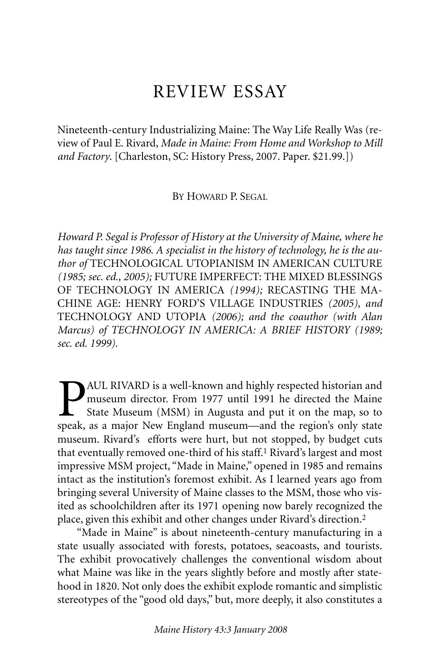## REVIEW ESSAY

Nineteenth-century Industrializing Maine: The Way Life Really Was (review of Paul E. Rivard, *Made in Maine: From Home and Workshop to Mill and Factory*. [Charleston, SC: History Press, 2007. Paper. \$21.99.])

BY HOWARD P. SEGAL

*Howard P. Segal is Professor of History at the University of Maine, where he has taught since 1986. A specialist in the history of technology, he is the author of* TECHNOLOGICAL UTOPIANISM IN AMERICAN CULTURE *(1985; sec. ed., 2005);* FUTURE IMPERFECT: THE MIXED BLESSINGS OF TECHNOLOGY IN AMERICA *(1994);* RECASTING THE MA-CHINE AGE: HENRY FORD'S VILLAGE INDUSTRIES *(2005), and* TECHNOLOGY AND UTOPIA *(2006); and the coauthor (with Alan Marcus) of TECHNOLOGY IN AMERICA: A BRIEF HISTORY (1989; sec. ed. 1999).*

**P**AUL RIVARD is a well-known and highly respected historian and museum director. From 1977 until 1991 he directed the Maine State Museum (MSM) in Augusta and put it on the map, so to speak, as a maior New England museum—a museum director. From 1977 until 1991 he directed the Maine State Museum (MSM) in Augusta and put it on the map, so to speak, as a major New England museum—and the region's only state museum. Rivard's efforts were hurt, but not stopped, by budget cuts that eventually removed one-third of his staff.<sup>1</sup> Rivard's largest and most impressive MSM project, "Made in Maine," opened in 1985 and remains intact as the institution's foremost exhibit. As I learned years ago from bringing several University of Maine classes to the MSM, those who visited as schoolchildren after its 1971 opening now barely recognized the place, given this exhibit and other changes under Rivard's direction.2

"Made in Maine" is about nineteenth-century manufacturing in a state usually associated with forests, potatoes, seacoasts, and tourists. The exhibit provocatively challenges the conventional wisdom about what Maine was like in the years slightly before and mostly after statehood in 1820. Not only does the exhibit explode romantic and simplistic stereotypes of the "good old days," but, more deeply, it also constitutes a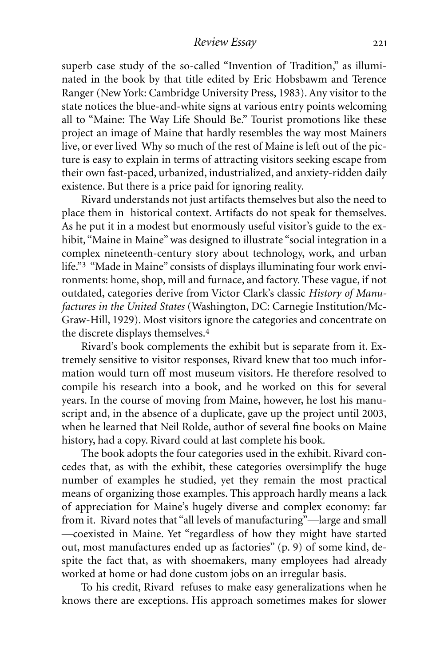superb case study of the so-called "Invention of Tradition," as illuminated in the book by that title edited by Eric Hobsbawm and Terence Ranger (New York: Cambridge University Press, 1983). Any visitor to the state notices the blue-and-white signs at various entry points welcoming all to "Maine: The Way Life Should Be." Tourist promotions like these project an image of Maine that hardly resembles the way most Mainers live, or ever lived Why so much of the rest of Maine is left out of the picture is easy to explain in terms of attracting visitors seeking escape from their own fast-paced, urbanized, industrialized, and anxiety-ridden daily existence. But there is a price paid for ignoring reality.

Rivard understands not just artifacts themselves but also the need to place them in historical context. Artifacts do not speak for themselves. As he put it in a modest but enormously useful visitor's guide to the exhibit, "Maine in Maine" was designed to illustrate "social integration in a complex nineteenth-century story about technology, work, and urban life."3 "Made in Maine" consists of displays illuminating four work environments: home, shop, mill and furnace, and factory. These vague, if not outdated, categories derive from Victor Clark's classic *History of Manufactures in the United States* (Washington, DC: Carnegie Institution/Mc-Graw-Hill, 1929). Most visitors ignore the categories and concentrate on the discrete displays themselves.4

Rivard's book complements the exhibit but is separate from it. Extremely sensitive to visitor responses, Rivard knew that too much information would turn off most museum visitors. He therefore resolved to compile his research into a book, and he worked on this for several years. In the course of moving from Maine, however, he lost his manuscript and, in the absence of a duplicate, gave up the project until 2003, when he learned that Neil Rolde, author of several fine books on Maine history, had a copy. Rivard could at last complete his book.

The book adopts the four categories used in the exhibit. Rivard concedes that, as with the exhibit, these categories oversimplify the huge number of examples he studied, yet they remain the most practical means of organizing those examples. This approach hardly means a lack of appreciation for Maine's hugely diverse and complex economy: far from it. Rivard notes that "all levels of manufacturing"—large and small —coexisted in Maine. Yet "regardless of how they might have started out, most manufactures ended up as factories" (p. 9) of some kind, despite the fact that, as with shoemakers, many employees had already worked at home or had done custom jobs on an irregular basis.

To his credit, Rivard refuses to make easy generalizations when he knows there are exceptions. His approach sometimes makes for slower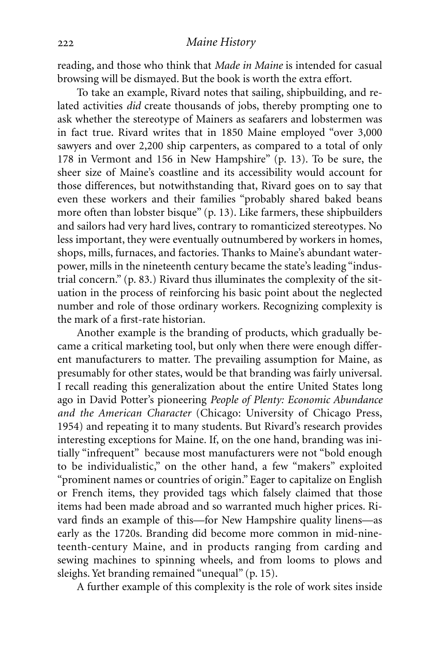reading, and those who think that *Made in Maine* is intended for casual browsing will be dismayed. But the book is worth the extra effort.

To take an example, Rivard notes that sailing, shipbuilding, and related activities *did* create thousands of jobs, thereby prompting one to ask whether the stereotype of Mainers as seafarers and lobstermen was in fact true. Rivard writes that in 1850 Maine employed "over 3,000 sawyers and over 2,200 ship carpenters, as compared to a total of only 178 in Vermont and 156 in New Hampshire" (p. 13). To be sure, the sheer size of Maine's coastline and its accessibility would account for those differences, but notwithstanding that, Rivard goes on to say that even these workers and their families "probably shared baked beans more often than lobster bisque" (p. 13). Like farmers, these shipbuilders and sailors had very hard lives, contrary to romanticized stereotypes. No less important, they were eventually outnumbered by workers in homes, shops, mills, furnaces, and factories. Thanks to Maine's abundant waterpower, mills in the nineteenth century became the state's leading "industrial concern." (p. 83.) Rivard thus illuminates the complexity of the situation in the process of reinforcing his basic point about the neglected number and role of those ordinary workers. Recognizing complexity is the mark of a first-rate historian.

Another example is the branding of products, which gradually became a critical marketing tool, but only when there were enough different manufacturers to matter. The prevailing assumption for Maine, as presumably for other states, would be that branding was fairly universal. I recall reading this generalization about the entire United States long ago in David Potter's pioneering *People of Plenty: Economic Abundance and the American Character* (Chicago: University of Chicago Press, 1954) and repeating it to many students. But Rivard's research provides interesting exceptions for Maine. If, on the one hand, branding was initially "infrequent" because most manufacturers were not "bold enough to be individualistic," on the other hand, a few "makers" exploited "prominent names or countries of origin." Eager to capitalize on English or French items, they provided tags which falsely claimed that those items had been made abroad and so warranted much higher prices. Rivard finds an example of this—for New Hampshire quality linens—as early as the 1720s. Branding did become more common in mid-nineteenth-century Maine, and in products ranging from carding and sewing machines to spinning wheels, and from looms to plows and sleighs. Yet branding remained "unequal" (p. 15).

A further example of this complexity is the role of work sites inside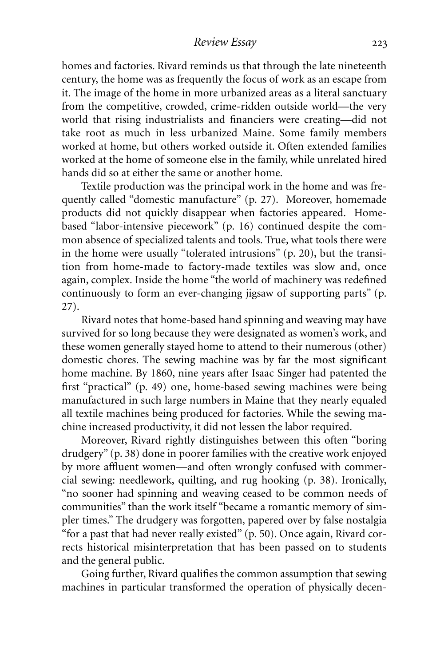### *Review Essay*

homes and factories. Rivard reminds us that through the late nineteenth century, the home was as frequently the focus of work as an escape from it. The image of the home in more urbanized areas as a literal sanctuary from the competitive, crowded, crime-ridden outside world—the very world that rising industrialists and financiers were creating—did not take root as much in less urbanized Maine. Some family members worked at home, but others worked outside it. Often extended families worked at the home of someone else in the family, while unrelated hired hands did so at either the same or another home.

Textile production was the principal work in the home and was frequently called "domestic manufacture" (p. 27). Moreover, homemade products did not quickly disappear when factories appeared. Homebased "labor-intensive piecework" (p. 16) continued despite the common absence of specialized talents and tools. True, what tools there were in the home were usually "tolerated intrusions" (p. 20), but the transition from home-made to factory-made textiles was slow and, once again, complex. Inside the home "the world of machinery was redefined continuously to form an ever-changing jigsaw of supporting parts" (p. 27).

Rivard notes that home-based hand spinning and weaving may have survived for so long because they were designated as women's work, and these women generally stayed home to attend to their numerous (other) domestic chores. The sewing machine was by far the most significant home machine. By 1860, nine years after Isaac Singer had patented the first "practical" (p. 49) one, home-based sewing machines were being manufactured in such large numbers in Maine that they nearly equaled all textile machines being produced for factories. While the sewing machine increased productivity, it did not lessen the labor required.

Moreover, Rivard rightly distinguishes between this often "boring drudgery" (p. 38) done in poorer families with the creative work enjoyed by more affluent women—and often wrongly confused with commercial sewing: needlework, quilting, and rug hooking (p. 38). Ironically, "no sooner had spinning and weaving ceased to be common needs of communities" than the work itself "became a romantic memory of simpler times." The drudgery was forgotten, papered over by false nostalgia "for a past that had never really existed" (p. 50). Once again, Rivard corrects historical misinterpretation that has been passed on to students and the general public.

Going further, Rivard qualifies the common assumption that sewing machines in particular transformed the operation of physically decen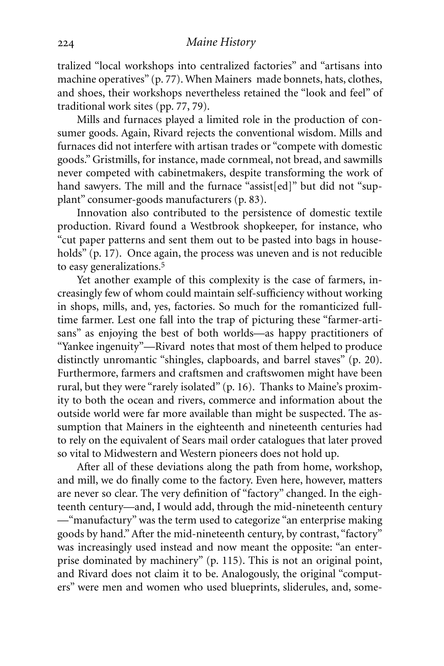tralized "local workshops into centralized factories" and "artisans into machine operatives" (p. 77). When Mainers made bonnets, hats, clothes, and shoes, their workshops nevertheless retained the "look and feel" of traditional work sites (pp. 77, 79).

Mills and furnaces played a limited role in the production of consumer goods. Again, Rivard rejects the conventional wisdom. Mills and furnaces did not interfere with artisan trades or "compete with domestic goods." Gristmills, for instance, made cornmeal, not bread, and sawmills never competed with cabinetmakers, despite transforming the work of hand sawyers. The mill and the furnace "assist[ed]" but did not "supplant" consumer-goods manufacturers (p. 83).

Innovation also contributed to the persistence of domestic textile production. Rivard found a Westbrook shopkeeper, for instance, who "cut paper patterns and sent them out to be pasted into bags in households" (p. 17). Once again, the process was uneven and is not reducible to easy generalizations.5

Yet another example of this complexity is the case of farmers, increasingly few of whom could maintain self-sufficiency without working in shops, mills, and, yes, factories. So much for the romanticized fulltime farmer. Lest one fall into the trap of picturing these "farmer-artisans" as enjoying the best of both worlds—as happy practitioners of "Yankee ingenuity"—Rivard notes that most of them helped to produce distinctly unromantic "shingles, clapboards, and barrel staves" (p. 20). Furthermore, farmers and craftsmen and craftswomen might have been rural, but they were "rarely isolated" (p. 16). Thanks to Maine's proximity to both the ocean and rivers, commerce and information about the outside world were far more available than might be suspected. The assumption that Mainers in the eighteenth and nineteenth centuries had to rely on the equivalent of Sears mail order catalogues that later proved so vital to Midwestern and Western pioneers does not hold up.

After all of these deviations along the path from home, workshop, and mill, we do finally come to the factory. Even here, however, matters are never so clear. The very definition of "factory" changed. In the eighteenth century—and, I would add, through the mid-nineteenth century —"manufactury" was the term used to categorize "an enterprise making goods by hand." After the mid-nineteenth century, by contrast, "factory" was increasingly used instead and now meant the opposite: "an enterprise dominated by machinery" (p. 115). This is not an original point, and Rivard does not claim it to be. Analogously, the original "computers" were men and women who used blueprints, sliderules, and, some-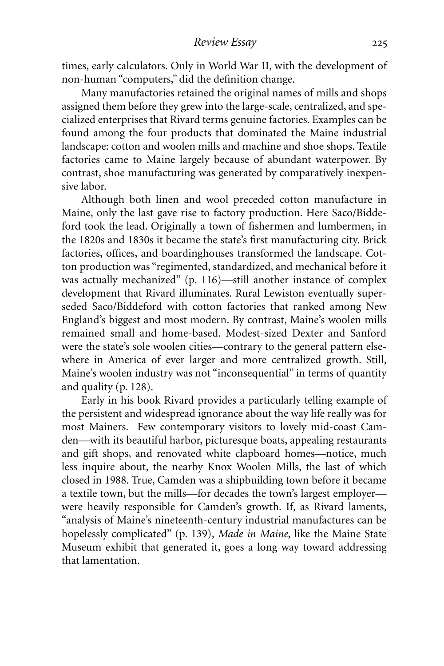times, early calculators. Only in World War II, with the development of non-human "computers," did the definition change.

Many manufactories retained the original names of mills and shops assigned them before they grew into the large-scale, centralized, and specialized enterprises that Rivard terms genuine factories. Examples can be found among the four products that dominated the Maine industrial landscape: cotton and woolen mills and machine and shoe shops. Textile factories came to Maine largely because of abundant waterpower. By contrast, shoe manufacturing was generated by comparatively inexpensive labor.

Although both linen and wool preceded cotton manufacture in Maine, only the last gave rise to factory production. Here Saco/Biddeford took the lead. Originally a town of fishermen and lumbermen, in the 1820s and 1830s it became the state's first manufacturing city. Brick factories, offices, and boardinghouses transformed the landscape. Cotton production was "regimented, standardized, and mechanical before it was actually mechanized" (p. 116)—still another instance of complex development that Rivard illuminates. Rural Lewiston eventually superseded Saco/Biddeford with cotton factories that ranked among New England's biggest and most modern. By contrast, Maine's woolen mills remained small and home-based. Modest-sized Dexter and Sanford were the state's sole woolen cities—contrary to the general pattern elsewhere in America of ever larger and more centralized growth. Still, Maine's woolen industry was not "inconsequential" in terms of quantity and quality (p. 128).

Early in his book Rivard provides a particularly telling example of the persistent and widespread ignorance about the way life really was for most Mainers. Few contemporary visitors to lovely mid-coast Camden—with its beautiful harbor, picturesque boats, appealing restaurants and gift shops, and renovated white clapboard homes—notice, much less inquire about, the nearby Knox Woolen Mills, the last of which closed in 1988. True, Camden was a shipbuilding town before it became a textile town, but the mills—for decades the town's largest employer were heavily responsible for Camden's growth. If, as Rivard laments, "analysis of Maine's nineteenth-century industrial manufactures can be hopelessly complicated" (p. 139), *Made in Maine*, like the Maine State Museum exhibit that generated it, goes a long way toward addressing that lamentation.